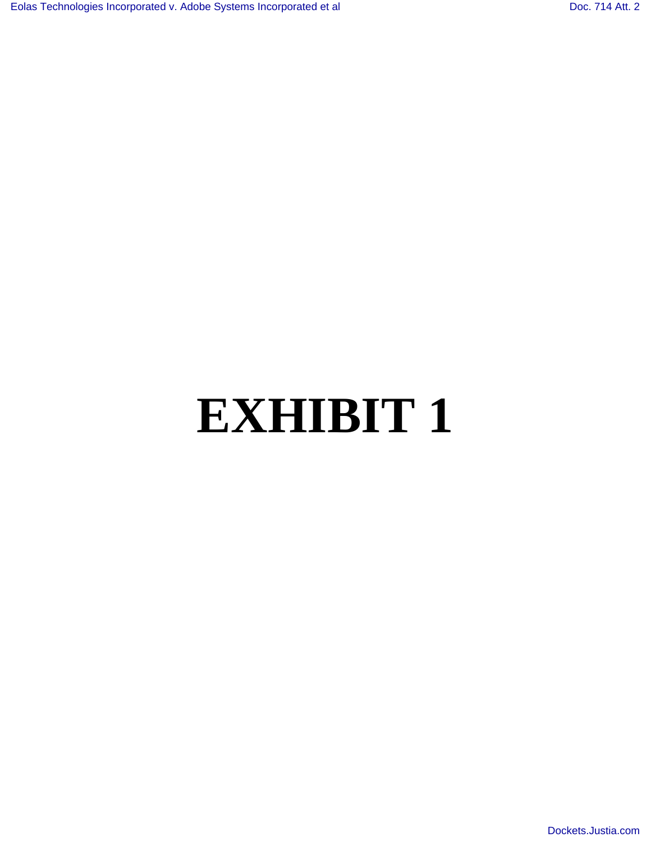## **EXHIBIT 1**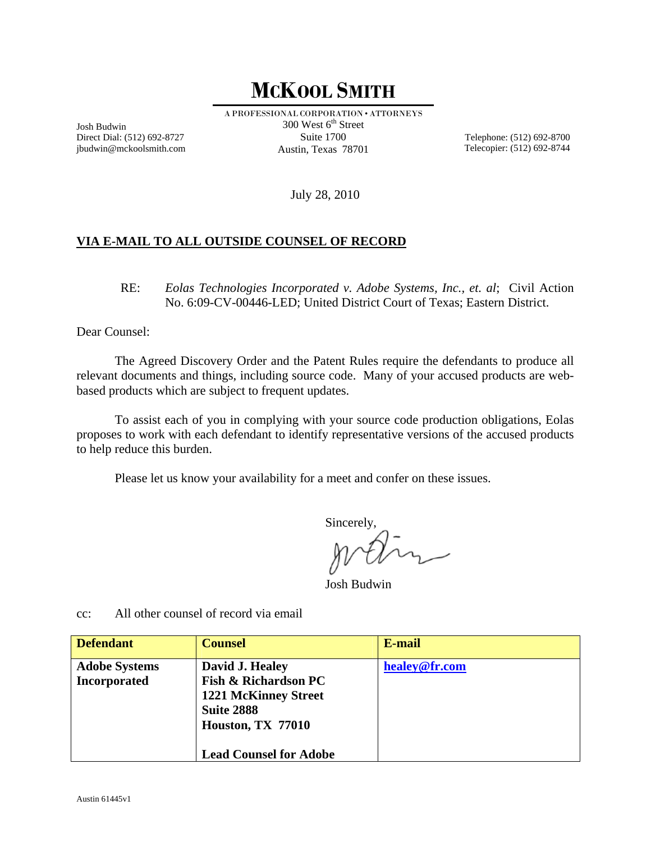## **MCKOOL SMITH**

Josh Budwin Direct Dial: (512) 692-8727 jbudwin@mckoolsmith.com A PROFESSIONAL CORPORATION • ATTORNEYS  $300$  West  $6<sup>th</sup>$  Street Suite 1700 Austin, Texas 78701

Telephone: (512) 692-8700 Telecopier: (512) 692-8744

July 28, 2010

## **VIA E-MAIL TO ALL OUTSIDE COUNSEL OF RECORD**

RE: *Eolas Technologies Incorporated v. Adobe Systems, Inc., et. al*; Civil Action No. 6:09-CV-00446-LED; United District Court of Texas; Eastern District.

Dear Counsel:

 The Agreed Discovery Order and the Patent Rules require the defendants to produce all relevant documents and things, including source code. Many of your accused products are webbased products which are subject to frequent updates.

 To assist each of you in complying with your source code production obligations, Eolas proposes to work with each defendant to identify representative versions of the accused products to help reduce this burden.

Please let us know your availability for a meet and confer on these issues.

Sincerely,

Josh Budwin

**Defendant Counsel E-mail Adobe Systems Incorporated David J. Healey Fish & Richardson PC 1221 McKinney Street Suite 2888 Houston, TX 77010 Lead Counsel for Adobe healey@fr.com**

cc: All other counsel of record via email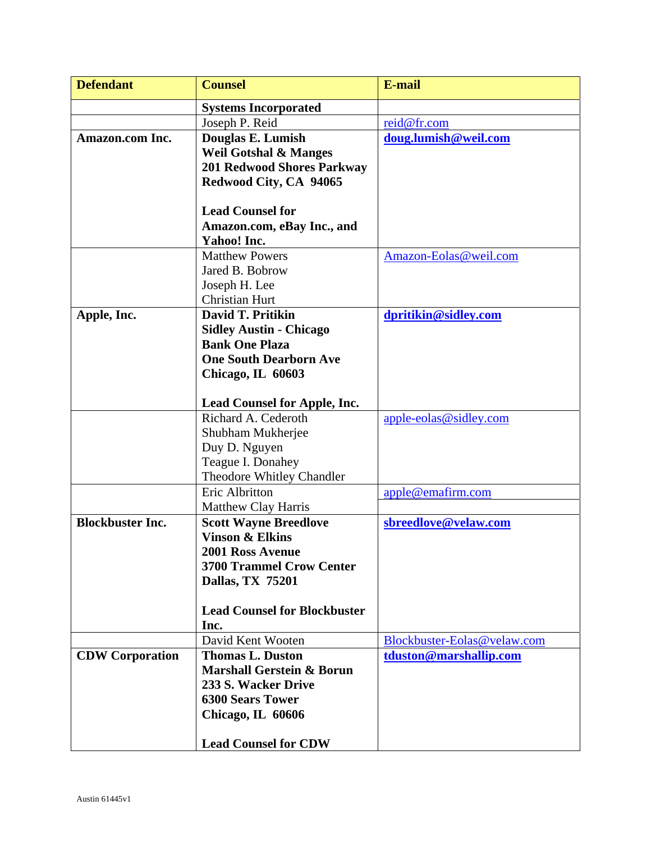| <b>Defendant</b>        | <b>Counsel</b>                       | <b>E-mail</b>               |
|-------------------------|--------------------------------------|-----------------------------|
|                         | <b>Systems Incorporated</b>          |                             |
|                         | Joseph P. Reid                       | reid@fr.com                 |
| Amazon.com Inc.         | Douglas E. Lumish                    | doug.lumish@weil.com        |
|                         | <b>Weil Gotshal &amp; Manges</b>     |                             |
|                         | <b>201 Redwood Shores Parkway</b>    |                             |
|                         | Redwood City, CA 94065               |                             |
|                         |                                      |                             |
|                         | <b>Lead Counsel for</b>              |                             |
|                         | Amazon.com, eBay Inc., and           |                             |
|                         | Yahoo! Inc.                          |                             |
|                         | <b>Matthew Powers</b>                | Amazon-Eolas@weil.com       |
|                         | Jared B. Bobrow                      |                             |
|                         | Joseph H. Lee                        |                             |
|                         | <b>Christian Hurt</b>                |                             |
| Apple, Inc.             | David T. Pritikin                    | dpritikin@sidley.com        |
|                         | <b>Sidley Austin - Chicago</b>       |                             |
|                         | <b>Bank One Plaza</b>                |                             |
|                         | <b>One South Dearborn Ave</b>        |                             |
|                         | Chicago, IL 60603                    |                             |
|                         | Lead Counsel for Apple, Inc.         |                             |
|                         | Richard A. Cederoth                  | $apple-eolas @sidley.com$   |
|                         | Shubham Mukherjee                    |                             |
|                         | Duy D. Nguyen                        |                             |
|                         | Teague I. Donahey                    |                             |
|                         | Theodore Whitley Chandler            |                             |
|                         | Eric Albritton                       | apple@emafirm.com           |
|                         | <b>Matthew Clay Harris</b>           |                             |
| <b>Blockbuster Inc.</b> | <b>Scott Wayne Breedlove</b>         | sbreedlove@velaw.com        |
|                         | <b>Vinson &amp; Elkins</b>           |                             |
|                         | 2001 Ross Avenue                     |                             |
|                         | <b>3700 Trammel Crow Center</b>      |                             |
|                         | Dallas, TX 75201                     |                             |
|                         |                                      |                             |
|                         | <b>Lead Counsel for Blockbuster</b>  |                             |
|                         | Inc.<br>David Kent Wooten            | Blockbuster-Eolas@velaw.com |
|                         | <b>Thomas L. Duston</b>              |                             |
| <b>CDW Corporation</b>  | <b>Marshall Gerstein &amp; Borun</b> | tduston@marshallip.com      |
|                         | 233 S. Wacker Drive                  |                             |
|                         | <b>6300 Sears Tower</b>              |                             |
|                         | Chicago, IL 60606                    |                             |
|                         |                                      |                             |
|                         | <b>Lead Counsel for CDW</b>          |                             |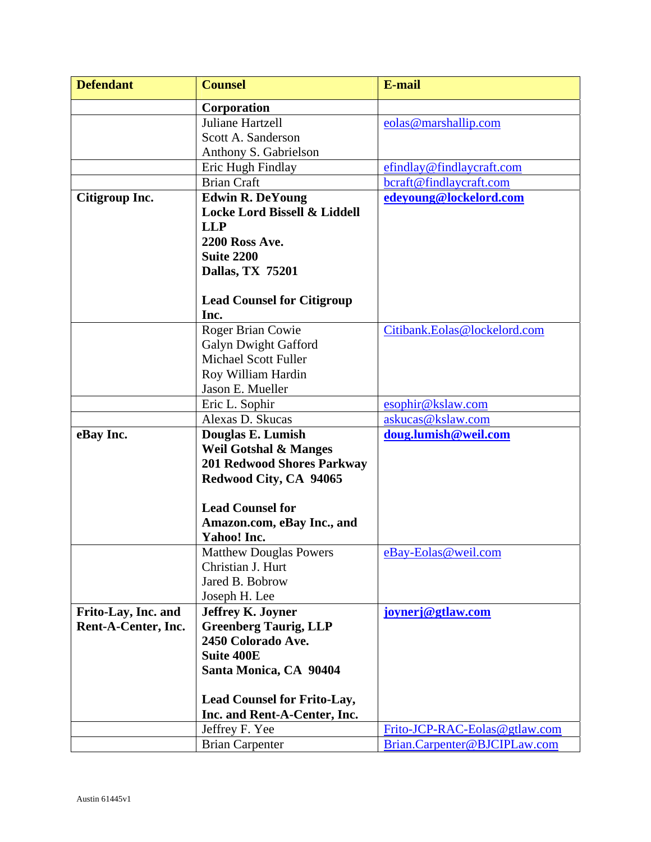| <b>Defendant</b>    | <b>Counsel</b>                          | E-mail                        |
|---------------------|-----------------------------------------|-------------------------------|
|                     | Corporation                             |                               |
|                     | Juliane Hartzell                        | eolas@marshallip.com          |
|                     | Scott A. Sanderson                      |                               |
|                     | Anthony S. Gabrielson                   |                               |
|                     | Eric Hugh Findlay                       | efindlay@findlaycraft.com     |
|                     | <b>Brian Craft</b>                      | bcraft@findlaycraft.com       |
| Citigroup Inc.      | <b>Edwin R. DeYoung</b>                 | edeyoung@lockelord.com        |
|                     | <b>Locke Lord Bissell &amp; Liddell</b> |                               |
|                     | <b>LLP</b>                              |                               |
|                     | 2200 Ross Ave.                          |                               |
|                     | <b>Suite 2200</b>                       |                               |
|                     | Dallas, TX 75201                        |                               |
|                     |                                         |                               |
|                     | <b>Lead Counsel for Citigroup</b>       |                               |
|                     | Inc.                                    |                               |
|                     | Roger Brian Cowie                       | Citibank.Eolas@lockelord.com  |
|                     | <b>Galyn Dwight Gafford</b>             |                               |
|                     | <b>Michael Scott Fuller</b>             |                               |
|                     | Roy William Hardin                      |                               |
|                     | Jason E. Mueller                        |                               |
|                     | Eric L. Sophir                          | esophir@kslaw.com             |
|                     | Alexas D. Skucas                        | askucas@kslaw.com             |
| eBay Inc.           | Douglas E. Lumish                       | doug.lumish@weil.com          |
|                     | <b>Weil Gotshal &amp; Manges</b>        |                               |
|                     | <b>201 Redwood Shores Parkway</b>       |                               |
|                     | Redwood City, CA 94065                  |                               |
|                     | <b>Lead Counsel for</b>                 |                               |
|                     | Amazon.com, eBay Inc., and              |                               |
|                     | Yahoo! Inc.                             |                               |
|                     | <b>Matthew Douglas Powers</b>           | eBay-Eolas@weil.com           |
|                     | Christian J. Hurt                       |                               |
|                     | Jared B. Bobrow                         |                               |
|                     | Joseph H. Lee                           |                               |
| Frito-Lay, Inc. and | <b>Jeffrey K. Joyner</b>                | joynerj@gtlaw.com             |
| Rent-A-Center, Inc. | <b>Greenberg Taurig, LLP</b>            |                               |
|                     | 2450 Colorado Ave.                      |                               |
|                     | <b>Suite 400E</b>                       |                               |
|                     | Santa Monica, CA 90404                  |                               |
|                     |                                         |                               |
|                     | <b>Lead Counsel for Frito-Lay,</b>      |                               |
|                     | Inc. and Rent-A-Center, Inc.            |                               |
|                     | Jeffrey F. Yee                          | Frito-JCP-RAC-Eolas@gtlaw.com |
|                     | <b>Brian Carpenter</b>                  | Brian.Carpenter@BJCIPLaw.com  |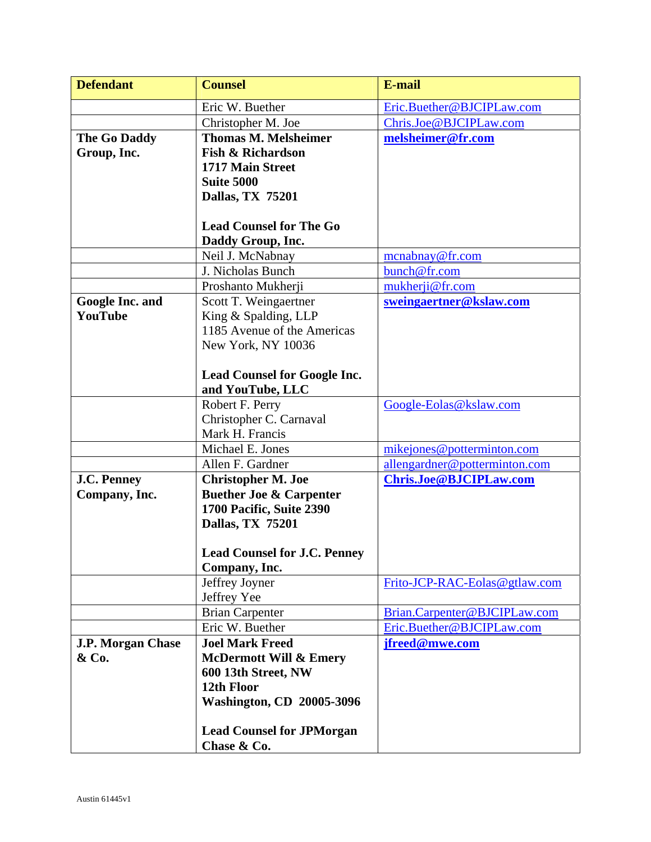| <b>Defendant</b>         | <b>Counsel</b>                                          | E-mail                        |
|--------------------------|---------------------------------------------------------|-------------------------------|
|                          | Eric W. Buether                                         | Eric.Buether@BJCIPLaw.com     |
|                          | Christopher M. Joe                                      | Chris.Joe@BJCIPLaw.com        |
| The Go Daddy             | <b>Thomas M. Melsheimer</b>                             | melsheimer@fr.com             |
| Group, Inc.              | <b>Fish &amp; Richardson</b>                            |                               |
|                          | 1717 Main Street                                        |                               |
|                          | <b>Suite 5000</b>                                       |                               |
|                          | Dallas, TX 75201                                        |                               |
|                          |                                                         |                               |
|                          | <b>Lead Counsel for The Go</b>                          |                               |
|                          | Daddy Group, Inc.                                       |                               |
|                          | Neil J. McNabnay                                        | mcnabnay@fr.com               |
|                          | J. Nicholas Bunch                                       | bunch@fr.com                  |
|                          | Proshanto Mukherji                                      | mukherji@fr.com               |
| <b>Google Inc. and</b>   | Scott T. Weingaertner                                   | sweingaertner@kslaw.com       |
| YouTube                  | King & Spalding, LLP                                    |                               |
|                          | 1185 Avenue of the Americas                             |                               |
|                          | New York, NY 10036                                      |                               |
|                          |                                                         |                               |
|                          | <b>Lead Counsel for Google Inc.</b><br>and YouTube, LLC |                               |
|                          | Robert F. Perry                                         | Google-Eolas@kslaw.com        |
|                          | Christopher C. Carnaval                                 |                               |
|                          | Mark H. Francis                                         |                               |
|                          | Michael E. Jones                                        | mikejones@potterminton.com    |
|                          | Allen F. Gardner                                        | allengardner@potterminton.com |
| <b>J.C. Penney</b>       | <b>Christopher M. Joe</b>                               | Chris.Joe@BJCIPLaw.com        |
| Company, Inc.            | <b>Buether Joe &amp; Carpenter</b>                      |                               |
|                          | 1700 Pacific, Suite 2390                                |                               |
|                          | Dallas, TX 75201                                        |                               |
|                          |                                                         |                               |
|                          | <b>Lead Counsel for J.C. Penney</b>                     |                               |
|                          | Company, Inc.                                           |                               |
|                          | Jeffrey Joyner                                          | Frito-JCP-RAC-Eolas@gtlaw.com |
|                          | Jeffrey Yee                                             |                               |
|                          | <b>Brian Carpenter</b>                                  | Brian.Carpenter@BJCIPLaw.com  |
|                          | Eric W. Buether                                         | Eric.Buether@BJCIPLaw.com     |
| <b>J.P. Morgan Chase</b> | <b>Joel Mark Freed</b>                                  | jfreed@mwe.com                |
| & Co.                    | <b>McDermott Will &amp; Emery</b>                       |                               |
|                          | 600 13th Street, NW                                     |                               |
|                          | 12th Floor                                              |                               |
|                          | <b>Washington, CD 20005-3096</b>                        |                               |
|                          | <b>Lead Counsel for JPMorgan</b>                        |                               |
|                          | Chase & Co.                                             |                               |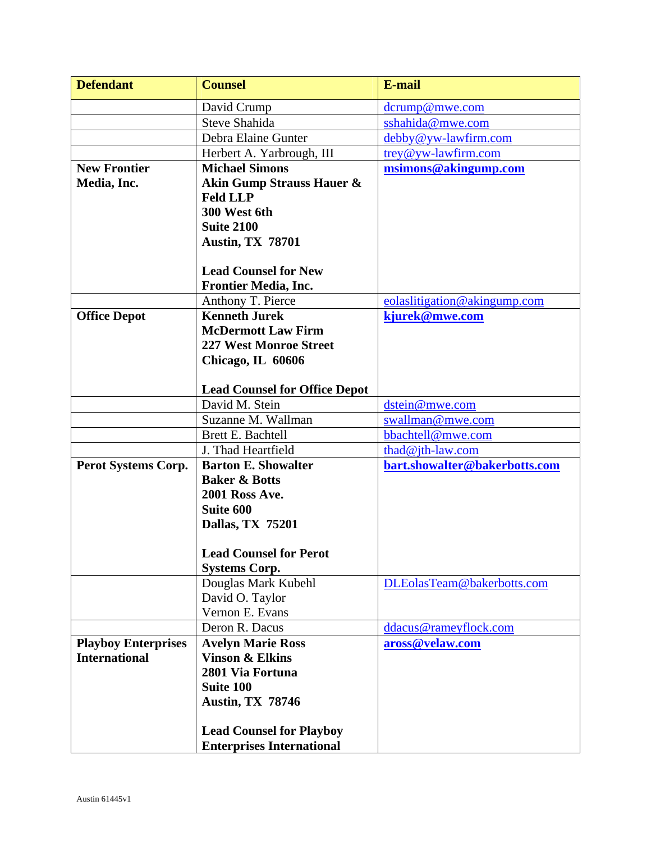| <b>Defendant</b>           | <b>Counsel</b>                       | E-mail                        |
|----------------------------|--------------------------------------|-------------------------------|
|                            | David Crump                          | dcrump@mwe.com                |
|                            | <b>Steve Shahida</b>                 | sshahida@mwe.com              |
|                            | Debra Elaine Gunter                  | debby@yw-lawfirm.com          |
|                            | Herbert A. Yarbrough, III            | trey@yw-lawfirm.com           |
| <b>New Frontier</b>        | <b>Michael Simons</b>                | msimons@akingump.com          |
| Media, Inc.                | <b>Akin Gump Strauss Hauer &amp;</b> |                               |
|                            | <b>Feld LLP</b>                      |                               |
|                            | 300 West 6th                         |                               |
|                            | <b>Suite 2100</b>                    |                               |
|                            | <b>Austin, TX 78701</b>              |                               |
|                            |                                      |                               |
|                            | <b>Lead Counsel for New</b>          |                               |
|                            | <b>Frontier Media, Inc.</b>          |                               |
|                            | Anthony T. Pierce                    | eolaslitigation@akingump.com  |
| <b>Office Depot</b>        | <b>Kenneth Jurek</b>                 | kjurek@mwe.com                |
|                            | <b>McDermott Law Firm</b>            |                               |
|                            | <b>227 West Monroe Street</b>        |                               |
|                            | Chicago, IL 60606                    |                               |
|                            |                                      |                               |
|                            | <b>Lead Counsel for Office Depot</b> |                               |
|                            | David M. Stein                       | dstein@mwe.com                |
|                            | Suzanne M. Wallman                   | swallman@mwe.com              |
|                            | Brett E. Bachtell                    | bbachtell@mwe.com             |
|                            | J. Thad Heartfield                   | thad@jth-law.com              |
| Perot Systems Corp.        | <b>Barton E. Showalter</b>           | bart.showalter@bakerbotts.com |
|                            | <b>Baker &amp; Botts</b>             |                               |
|                            | <b>2001 Ross Ave.</b>                |                               |
|                            | Suite 600                            |                               |
|                            | Dallas, TX 75201                     |                               |
|                            | <b>Lead Counsel for Perot</b>        |                               |
|                            | <b>Systems Corp.</b>                 |                               |
|                            | Douglas Mark Kubehl                  | DLEolasTeam@bakerbotts.com    |
|                            | David O. Taylor                      |                               |
|                            | Vernon E. Evans                      |                               |
|                            | Deron R. Dacus                       | ddacus@rameyflock.com         |
| <b>Playboy Enterprises</b> | <b>Avelyn Marie Ross</b>             | aross@velaw.com               |
| <b>International</b>       | <b>Vinson &amp; Elkins</b>           |                               |
|                            | 2801 Via Fortuna                     |                               |
|                            | <b>Suite 100</b>                     |                               |
|                            | <b>Austin, TX 78746</b>              |                               |
|                            |                                      |                               |
|                            | <b>Lead Counsel for Playboy</b>      |                               |
|                            | <b>Enterprises International</b>     |                               |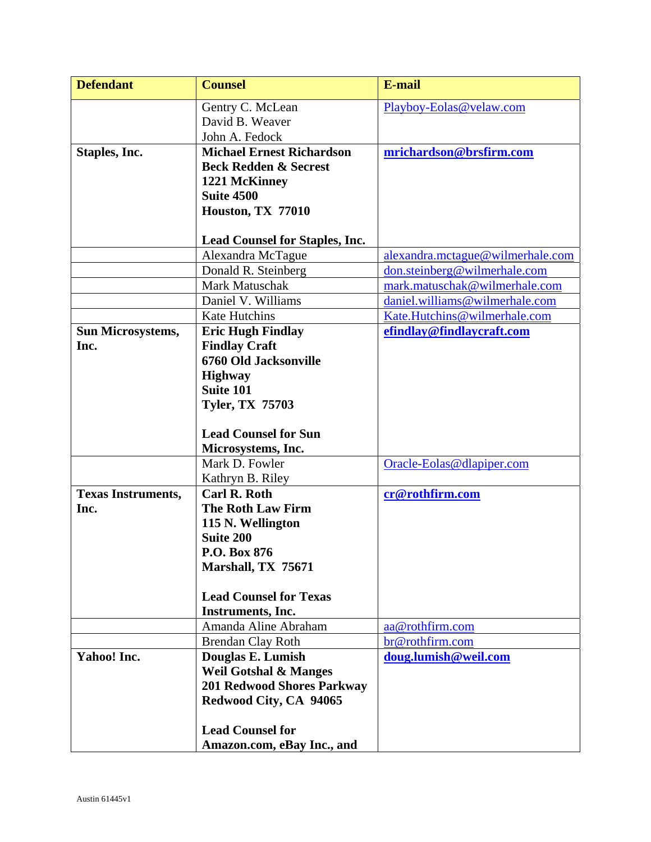| <b>Defendant</b>          | <b>Counsel</b>                        | <b>E-mail</b>                    |
|---------------------------|---------------------------------------|----------------------------------|
|                           | Gentry C. McLean                      | Playboy-Eolas@velaw.com          |
|                           | David B. Weaver                       |                                  |
|                           | John A. Fedock                        |                                  |
| Staples, Inc.             | <b>Michael Ernest Richardson</b>      | mrichardson@brsfirm.com          |
|                           | <b>Beck Redden &amp; Secrest</b>      |                                  |
|                           | 1221 McKinney                         |                                  |
|                           | <b>Suite 4500</b>                     |                                  |
|                           | Houston, TX 77010                     |                                  |
|                           | <b>Lead Counsel for Staples, Inc.</b> |                                  |
|                           | Alexandra McTague                     | alexandra.mctague@wilmerhale.com |
|                           | Donald R. Steinberg                   | don.steinberg@wilmerhale.com     |
|                           | Mark Matuschak                        | mark.matuschak@wilmerhale.com    |
|                           | Daniel V. Williams                    | daniel.williams@wilmerhale.com   |
|                           | Kate Hutchins                         | Kate.Hutchins@wilmerhale.com     |
| <b>Sun Microsystems,</b>  | <b>Eric Hugh Findlay</b>              | efindlay@findlaycraft.com        |
| Inc.                      | <b>Findlay Craft</b>                  |                                  |
|                           | 6760 Old Jacksonville                 |                                  |
|                           | <b>Highway</b>                        |                                  |
|                           | <b>Suite 101</b>                      |                                  |
|                           | <b>Tyler, TX 75703</b>                |                                  |
|                           | <b>Lead Counsel for Sun</b>           |                                  |
|                           | Microsystems, Inc.                    |                                  |
|                           | Mark D. Fowler                        | Oracle-Eolas@dlapiper.com        |
|                           | Kathryn B. Riley                      |                                  |
| <b>Texas Instruments,</b> | <b>Carl R. Roth</b>                   | cr@rothfirm.com                  |
| Inc.                      | <b>The Roth Law Firm</b>              |                                  |
|                           | 115 N. Wellington                     |                                  |
|                           | <b>Suite 200</b>                      |                                  |
|                           | P.O. Box 876<br>Marshall, TX 75671    |                                  |
|                           |                                       |                                  |
|                           | <b>Lead Counsel for Texas</b>         |                                  |
|                           | Instruments, Inc.                     |                                  |
|                           | Amanda Aline Abraham                  | aa@rothfirm.com                  |
|                           | Brendan Clay Roth                     | br@rothfirm.com                  |
| Yahoo! Inc.               | Douglas E. Lumish                     | doug.lumish@weil.com             |
|                           | <b>Weil Gotshal &amp; Manges</b>      |                                  |
|                           | <b>201 Redwood Shores Parkway</b>     |                                  |
|                           | Redwood City, CA 94065                |                                  |
|                           | <b>Lead Counsel for</b>               |                                  |
|                           | Amazon.com, eBay Inc., and            |                                  |